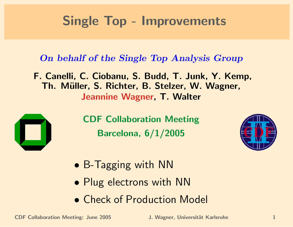### Single Top - Improvements

#### On behalf of the Single Top Analysis Group

F. Canelli, C. Ciobanu, S. Budd, T. Junk, Y. Kemp, Th. Müller, S. Richter, B. Stelzer, W. Wagner, Jeannine Wagner, T. Walter



CDF Collaboration Meeting Barcelona, 6/1/2005



- B-Tagging with NN
- Plug electrons with NN
- Check of Production Model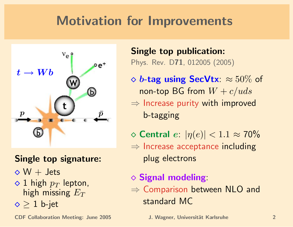### Motivation for Improvements



#### Single top signature:

- $\diamond$  W + Jets
- $\Diamond$  1 high  $p_T$  lepton, high missing  $E_T$
- $\diamond$   $\geq$  1 b-jet

CDF Collaboration Meeting: June 2005 J. Wagner, Universität Karlsruhe 2005

Single top publication: Phys. Rev. D71, 012005 (2005)

- $\Diamond$  b-tag using SecVtx:  $\approx 50\%$  of non-top BG from  $W + c/uds$  $\Rightarrow$  Increase purity with improved b-tagging
- $\Diamond$  Central  $e: |\eta(e)| < 1.1 \approx 70\%$  $\Rightarrow$  Increase acceptance including plug electrons
- $\diamond$  Signal modeling:  $\Rightarrow$  Comparison between NLO and standard MC
	-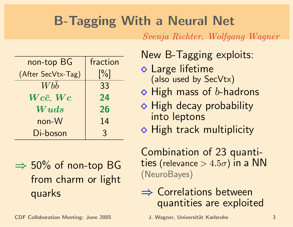## B-Tagging With a Neural Net

Svenja Richter, Wolfgang Wagner

| non-top BG         | fraction          |
|--------------------|-------------------|
| (After SecVtx-Tag) | $\lceil\% \rceil$ |
| <b>W</b> bb        | 33                |
| $Wc\bar{c}$ , $Wc$ | 24                |
| Wuds               | 26                |
| non-W              | 14                |
| Di-boson           | $\mathcal{S}$     |

 $\Rightarrow$  50% of non-top BG from charm or light ⇒ quarks

New B-Tagging exploits:

- Large lifetime (also used by SecVtx)
- $\Diamond$  High mass of b-hadrons
- $\Diamond$  High decay probability into leptons
- $\Diamond$  High track multiplicity

Combination of 23 quantities (relevance  $> 4.5\sigma$ ) in a NN (NeuroBayes)

⇒ Correlations between quantities are exploited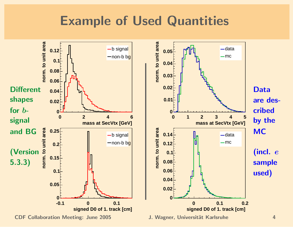#### Example of Used Quantities

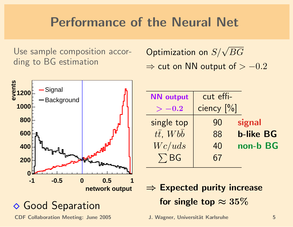### Performance of the Neural Net

Use sample composition according to BG estimation

Optimization on  $S/\sqrt{BG}$  $\Rightarrow$  cut on NN output of  $> -0.2$ 



CDF Collaboration Meeting: June 2005 J. Wagner, Universität Karlsruhe 5

| <b>NN</b> output         | cut effi-  |                  |
|--------------------------|------------|------------------|
| $>-0.2$                  | ciency [%] |                  |
| single top               | 90         | signal           |
| $t\bar{t}$ , $Wb\bar{b}$ | 88         | <b>b-like BG</b> |
| We/uds                   | 40         | non-b BG         |
| $\sum BG$                | 67         |                  |
|                          |            |                  |

- $\Rightarrow$  Expected purity increase for single top  $\approx 35\%$ 
	-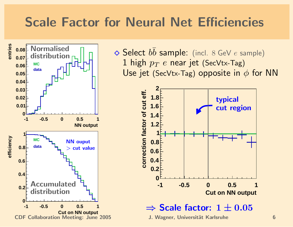#### Scale Factor for Neural Net Efficiencies



 $\diamond$  Select  $b\bar{b}$  sample: (incl. 8 GeV  $e$  sample) 1 high  $p_T e$  near jet (SecVtx-Tag) Use jet (SecVtx-Tag) opposite in  $\phi$  for NN

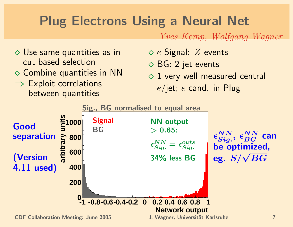## Plug Electrons Using a Neural Net

Yves Kemp, Wolfgang Wagner

- Use same quantities as in cut based selection
- $\diamond$  Combine quantities in NN
- ⇒ Exploit correlations between quantities
- $\diamond$  e-Signal:  $Z$  events
- BG: 2 jet events
- $\Diamond$  1 very well measured central  $e$ /jet;  $e$  cand. in Plug

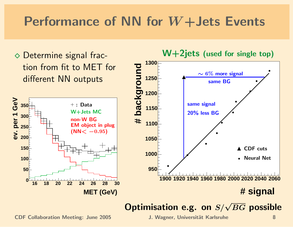### Performance of NN for  $W+Jets$  Events



# Optimisation e.g. on  $S/\sqrt{BG}$  possible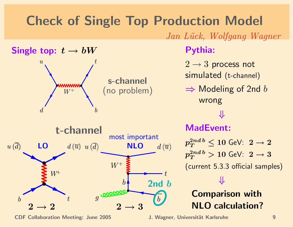## Check of Single Top Production Model

Jan Lück, Wolfgang Wagner



CDF Collaboration Meeting: June 2005 J. Wagner, Universität Karlsruhe 9

#### Pythia:

- $2 \rightarrow 3$  process not simulated (t-channel)
- $\Rightarrow$  Modeling of 2nd b wrong

⇓

MadEvent:

 $p_T^{2nd\,b}\leq 10$  GeV:  $\ 2\to 2$  $p_T^{2nd\,b} > 10$  GeV:  $\ 2\to 3$ (current 5.3.3 official samples) ⇓ Comparison with NLO calculation?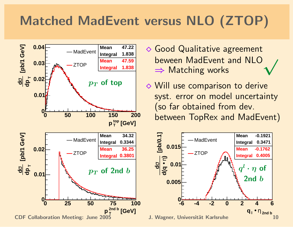# Matched MadEvent versus NLO (ZTOP)



- Good Qualitative agreement <sup>⇒</sup> Matching works <sup>√</sup> beween MadEvent and NLO
- **◆ Will use comparison to derive**  syst. error on model uncertainty (so far obtained from dev. between TopRex and MadEvent)